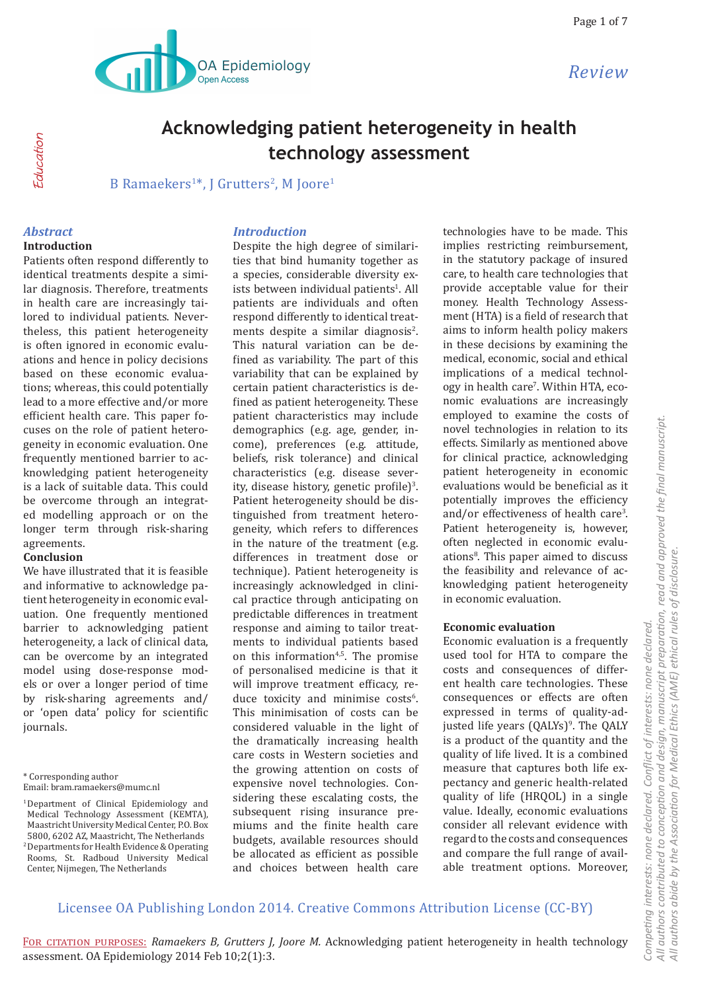

# **Acknowledging patient heterogeneity in health technology assessment**

B Ramaekers<sup>1\*</sup>, J Grutters<sup>2</sup>, M Joore<sup>1</sup>

### *Abstract*

Education

**Education** 

#### **Introduction**

Patients often respond differently to identical treatments despite a similar diagnosis. Therefore, treatments in health care are increasingly tailored to individual patients. Nevertheless, this patient heterogeneity is often ignored in economic evaluations and hence in policy decisions based on these economic evaluations; whereas, this could potentially lead to a more effective and/or more efficient health care. This paper focuses on the role of patient heterogeneity in economic evaluation. One frequently mentioned barrier to acknowledging patient heterogeneity is a lack of suitable data. This could be overcome through an integrated modelling approach or on the longer term through risk-sharing agreements.

#### **Conclusion**

We have illustrated that it is feasible and informative to acknowledge patient heterogeneity in economic evaluation. One frequently mentioned barrier to acknowledging patient heterogeneity, a lack of clinical data, can be overcome by an integrated model using dose-response models or over a longer period of time by risk-sharing agreements and/ or 'open data' policy for scientific journals.

\* Corresponding author

#### *Introduction*

Despite the high degree of similarities that bind humanity together as a species, considerable diversity exists between individual patients<sup>1</sup>. All patients are individuals and often respond differently to identical treatments despite a similar diagnosis<sup>2</sup>. This natural variation can be defined as variability. The part of this variability that can be explained by certain patient characteristics is defined as patient heterogeneity. These patient characteristics may include demographics (e.g. age, gender, income), preferences (e.g. attitude, beliefs, risk tolerance) and clinical characteristics (e.g. disease severity, disease history, genetic profile)<sup>3</sup>. Patient heterogeneity should be distinguished from treatment heterogeneity, which refers to differences in the nature of the treatment (e.g. differences in treatment dose or technique). Patient heterogeneity is increasingly acknowledged in clinical practice through anticipating on predictable differences in treatment response and aiming to tailor treatments to individual patients based on this information<sup>4,5</sup>. The promise of personalised medicine is that it will improve treatment efficacy, reduce toxicity and minimise costs<sup>6</sup>. This minimisation of costs can be considered valuable in the light of the dramatically increasing health care costs in Western societies and the growing attention on costs of expensive novel technologies. Considering these escalating costs, the subsequent rising insurance premiums and the finite health care budgets, available resources should be allocated as efficient as possible and choices between health care

technologies have to be made. This implies restricting reimbursement, in the statutory package of insured care, to health care technologies that provide acceptable value for their money. Health Technology Assessment (HTA) is a field of research that aims to inform health policy makers in these decisions by examining the medical, economic, social and ethical implications of a medical technology in health care'. Within HTA, economic evaluations are increasingly employed to examine the costs of novel technologies in relation to its effects. Similarly as mentioned above for clinical practice, acknowledging patient heterogeneity in economic evaluations would be beneficial as it potentially improves the efficiency and/or effectiveness of health care<sup>3</sup>. Patient heterogeneity is, however, often neglected in economic evaluations<sup>8</sup>. This paper aimed to discuss the feasibility and relevance of acknowledging patient heterogeneity in economic evaluation.

#### **Economic evaluation**

Economic evaluation is a frequently used tool for HTA to compare the costs and consequences of different health care technologies. These consequences or effects are often expressed in terms of quality-adjusted life years (QALYs)<sup>9</sup>. The QALY is a product of the quantity and the quality of life lived. It is a combined measure that captures both life expectancy and generic health-related quality of life (HRQOL) in a single value. Ideally, economic evaluations consider all relevant evidence with regard to the costs and consequences and compare the full range of available treatment options. Moreover,

# Licensee OA Publishing London 2014. Creative Commons Attribution License (CC-BY)

For citation purposes: *Ramaekers B, Grutters J, Joore M.* Acknowledging patient heterogeneity in health technology assessment. OA Epidemiology 2014 Feb 10;2(1):3.

Email: bram.ramaekers@mumc.nl

<sup>1</sup> Department of Clinical Epidemiology and Medical Technology Assessment (KEMTA), Maastricht University Medical Center, P.O. Box 5800, 6202 AZ, Maastricht, The Netherlands 2 Departments for Health Evidence & Operating Rooms, St. Radboud University Medical Center, Nijmegen, The Netherlands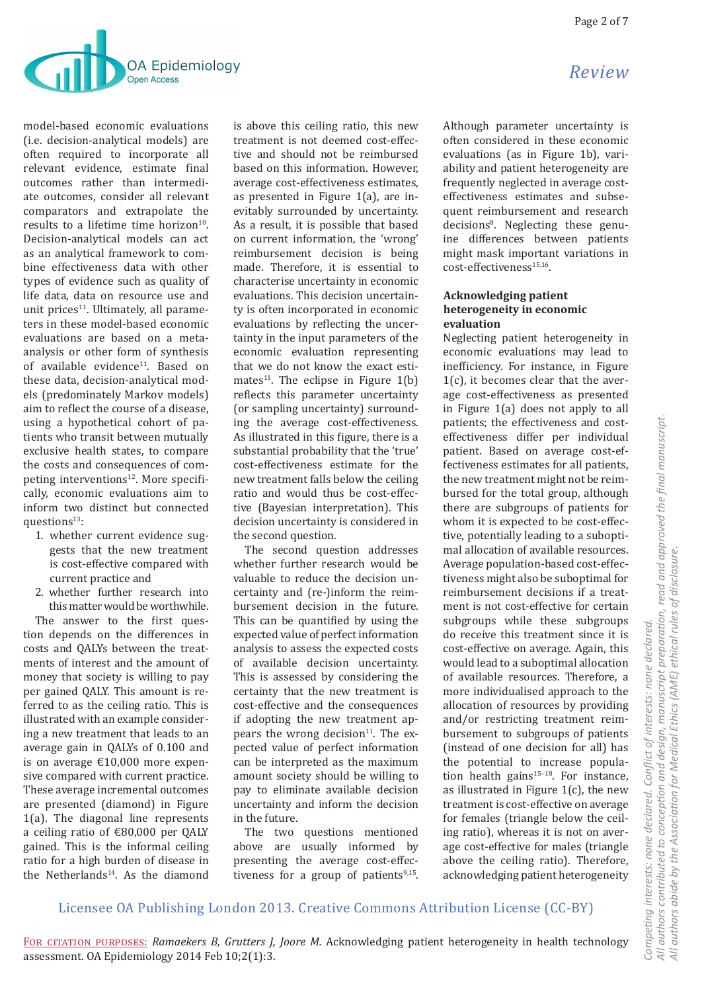

model-based economic evaluations (i.e. decision-analytical models) are often required to incorporate all relevant evidence, estimate final outcomes rather than intermediate outcomes, consider all relevant comparators and extrapolate the results to a lifetime time horizon<sup>10</sup>. Decision-analytical models can act as an analytical framework to combine effectiveness data with other types of evidence such as quality of life data, data on resource use and unit prices<sup>11</sup>. Ultimately, all parameters in these model-based economic evaluations are based on a metaanalysis or other form of synthesis of available evidence<sup>11</sup>. Based on these data, decision-analytical models (predominately Markov models) aim to reflect the course of a disease, using a hypothetical cohort of patients who transit between mutually exclusive health states, to compare the costs and consequences of competing interventions<sup>12</sup>. More specifically, economic evaluations aim to inform two distinct but connected questions $13$ :

- 1. whether current evidence suggests that the new treatment is cost-effective compared with current practice and
- 2. whether further research into this matter would be worthwhile.

The answer to the first question depends on the differences in costs and QALYs between the treatments of interest and the amount of money that society is willing to pay per gained QALY. This amount is referred to as the ceiling ratio. This is illustrated with an example considering a new treatment that leads to an average gain in QALYs of 0.100 and is on average €10,000 more expensive compared with current practice. These average incremental outcomes are presented (diamond) in Figure 1(a). The diagonal line represents a ceiling ratio of €80,000 per QALY gained. This is the informal ceiling ratio for a high burden of disease in the Netherlands<sup>14</sup>. As the diamond is above this ceiling ratio, this new treatment is not deemed cost-effective and should not be reimbursed based on this information. However, average cost-effectiveness estimates, as presented in Figure 1(a), are inevitably surrounded by uncertainty. As a result, it is possible that based on current information, the 'wrong' reimbursement decision is being made. Therefore, it is essential to characterise uncertainty in economic evaluations. This decision uncertainty is often incorporated in economic evaluations by reflecting the uncertainty in the input parameters of the economic evaluation representing that we do not know the exact estimates<sup>11</sup>. The eclipse in Figure  $1(b)$ reflects this parameter uncertainty (or sampling uncertainty) surrounding the average cost-effectiveness. As illustrated in this figure, there is a substantial probability that the 'true' cost-effectiveness estimate for the new treatment falls below the ceiling ratio and would thus be cost-effective (Bayesian interpretation). This decision uncertainty is considered in the second question.

The second question addresses whether further research would be valuable to reduce the decision uncertainty and (re-)inform the reimbursement decision in the future. This can be quantified by using the expected value of perfect information analysis to assess the expected costs of available decision uncertainty. This is assessed by considering the certainty that the new treatment is cost-effective and the consequences if adopting the new treatment appears the wrong decision $11$ . The expected value of perfect information can be interpreted as the maximum amount society should be willing to pay to eliminate available decision uncertainty and inform the decision in the future.

The two questions mentioned above are usually informed by presenting the average cost-effectiveness for a group of patients<sup>9,15</sup>.

# *Review*

Although parameter uncertainty is often considered in these economic evaluations (as in Figure 1b), variability and patient heterogeneity are frequently neglected in average costeffectiveness estimates and subsequent reimbursement and research decisions<sup>8</sup>. Neglecting these genuine differences between patients might mask important variations in cost-effectiveness<sup>15,16</sup>.

## **Acknowledging patient heterogeneity in economic evaluation**

Neglecting patient heterogeneity in economic evaluations may lead to inefficiency. For instance, in Figure 1(c), it becomes clear that the average cost-effectiveness as presented in Figure 1(a) does not apply to all patients; the effectiveness and costeffectiveness differ per individual patient. Based on average cost-effectiveness estimates for all patients, the new treatment might not be reimbursed for the total group, although there are subgroups of patients for whom it is expected to be cost-effective, potentially leading to a suboptimal allocation of available resources. Average population-based cost-effectiveness might also be suboptimal for reimbursement decisions if a treatment is not cost-effective for certain subgroups while these subgroups do receive this treatment since it is cost-effective on average. Again, this would lead to a suboptimal allocation of available resources. Therefore, a more individualised approach to the allocation of resources by providing and/or restricting treatment reimbursement to subgroups of patients (instead of one decision for all) has the potential to increase population health gains $15-18$ . For instance, as illustrated in Figure  $1(c)$ , the new treatment is cost-effective on average for females (triangle below the ceiling ratio), whereas it is not on average cost-effective for males (triangle above the ceiling ratio). Therefore, acknowledging patient heterogeneity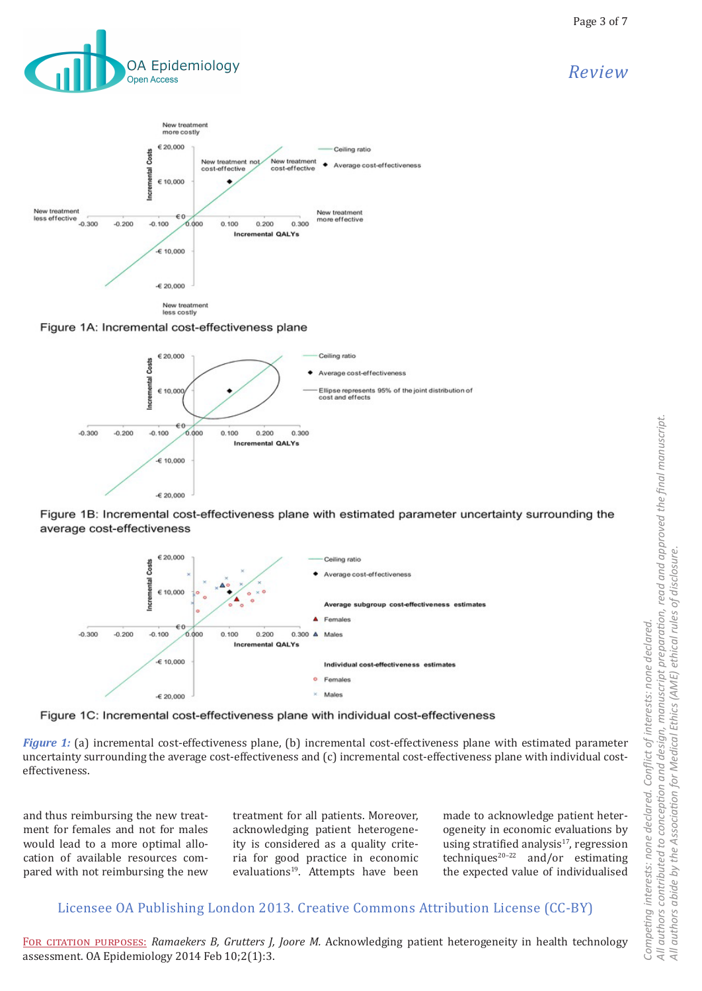



Figure 1A: Incremental cost-effectiveness plane



Figure 1B: Incremental cost-effectiveness plane with estimated parameter uncertainty surrounding the average cost-effectiveness





*Figure 1:* (a) incremental cost-effectiveness plane, (b) incremental cost-effectiveness plane with estimated parameter uncertainty surrounding the average cost-effectiveness and (c) incremental cost-effectiveness plane with individual costeffectiveness.

and thus reimbursing the new treatment for females and not for males would lead to a more optimal allocation of available resources compared with not reimbursing the new treatment for all patients. Moreover, acknowledging patient heterogeneity is considered as a quality criteria for good practice in economic evaluations<sup>19</sup>. Attempts have been

made to acknowledge patient heterogeneity in economic evaluations by using stratified analysis<sup>17</sup>, regression techniques<sup>20-22</sup> and/or estimating the expected value of individualised

# Licensee OA Publishing London 2013. Creative Commons Attribution License (CC-BY)

For citation purposes: *Ramaekers B, Grutters J, Joore M.* Acknowledging patient heterogeneity in health technology assessment. OA Epidemiology 2014 Feb 10;2(1):3.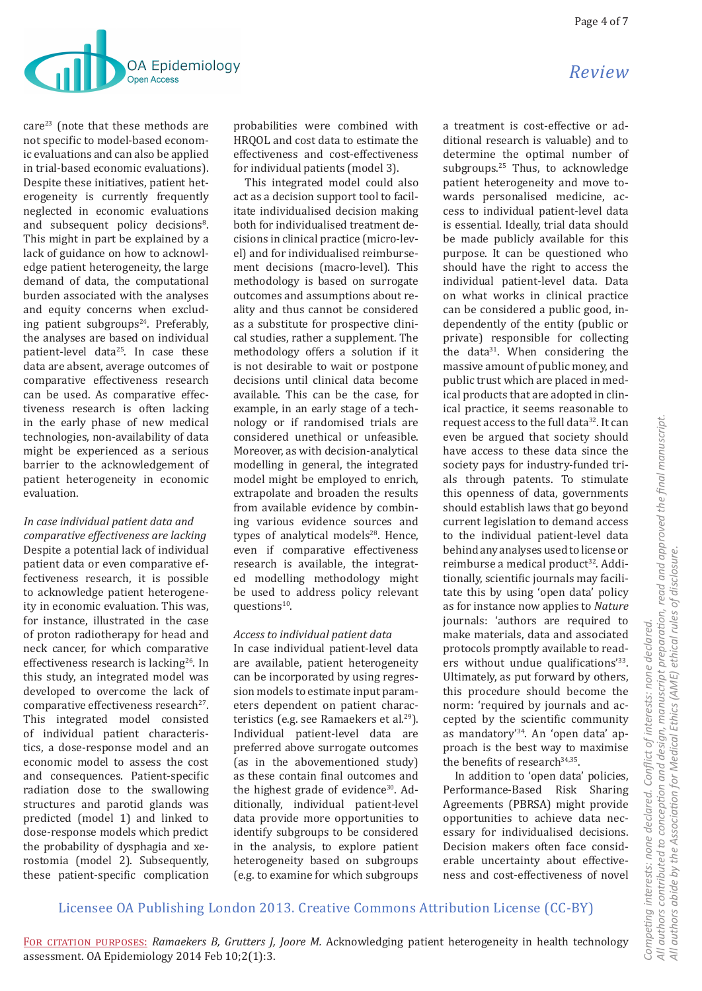

care<sup>23</sup> (note that these methods are not specific to model-based economic evaluations and can also be applied in trial-based economic evaluations). Despite these initiatives, patient heterogeneity is currently frequently neglected in economic evaluations and subsequent policy decisions<sup>8</sup>. This might in part be explained by a lack of guidance on how to acknowledge patient heterogeneity, the large demand of data, the computational burden associated with the analyses and equity concerns when excluding patient subgroups $24$ . Preferably, the analyses are based on individual patient-level data<sup>25</sup>. In case these data are absent, average outcomes of comparative effectiveness research can be used. As comparative effectiveness research is often lacking in the early phase of new medical technologies, non-availability of data might be experienced as a serious barrier to the acknowledgement of patient heterogeneity in economic evaluation.

*In case individual patient data and comparative effectiveness are lacking* Despite a potential lack of individual patient data or even comparative effectiveness research, it is possible to acknowledge patient heterogeneity in economic evaluation. This was, for instance, illustrated in the case of proton radiotherapy for head and neck cancer, for which comparative effectiveness research is lacking<sup>26</sup>. In this study, an integrated model was developed to overcome the lack of comparative effectiveness research<sup>27</sup>. This integrated model consisted of individual patient characteristics, a dose-response model and an economic model to assess the cost and consequences. Patient-specific radiation dose to the swallowing structures and parotid glands was predicted (model 1) and linked to dose-response models which predict the probability of dysphagia and xerostomia (model 2). Subsequently, these patient-specific complication

probabilities were combined with HRQOL and cost data to estimate the effectiveness and cost-effectiveness for individual patients (model 3).

This integrated model could also act as a decision support tool to facilitate individualised decision making both for individualised treatment decisions in clinical practice (micro-level) and for individualised reimbursement decisions (macro-level). This methodology is based on surrogate outcomes and assumptions about reality and thus cannot be considered as a substitute for prospective clinical studies, rather a supplement. The methodology offers a solution if it is not desirable to wait or postpone decisions until clinical data become available. This can be the case, for example, in an early stage of a technology or if randomised trials are considered unethical or unfeasible. Moreover, as with decision-analytical modelling in general, the integrated model might be employed to enrich, extrapolate and broaden the results from available evidence by combining various evidence sources and types of analytical models<sup>28</sup>. Hence, even if comparative effectiveness research is available, the integrated modelling methodology might be used to address policy relevant questions<sup>10</sup>.

## *Access to individual patient data*

In case individual patient-level data are available, patient heterogeneity can be incorporated by using regression models to estimate input parameters dependent on patient characteristics (e.g. see Ramaekers et al.<sup>29</sup>). Individual patient-level data are preferred above surrogate outcomes (as in the abovementioned study) as these contain final outcomes and the highest grade of evidence<sup>30</sup>. Additionally, individual patient-level data provide more opportunities to identify subgroups to be considered in the analysis, to explore patient heterogeneity based on subgroups (e.g. to examine for which subgroups

a treatment is cost-effective or additional research is valuable) and to determine the optimal number of subgroups.<sup>25</sup> Thus, to acknowledge patient heterogeneity and move towards personalised medicine, access to individual patient-level data is essential. Ideally, trial data should be made publicly available for this purpose. It can be questioned who should have the right to access the individual patient-level data. Data on what works in clinical practice can be considered a public good, independently of the entity (public or private) responsible for collecting the data<sup>31</sup>. When considering the massive amount of public money, and public trust which are placed in medical products that are adopted in clinical practice, it seems reasonable to request access to the full data32. It can even be argued that society should have access to these data since the society pays for industry-funded trials through patents. To stimulate this openness of data, governments should establish laws that go beyond current legislation to demand access to the individual patient-level data behind any analyses used to license or reimburse a medical product<sup>32</sup>. Additionally, scientific journals may facilitate this by using 'open data' policy as for instance now applies to *Nature* journals: 'authors are required to make materials, data and associated protocols promptly available to readers without undue qualifications'33. Ultimately, as put forward by others, this procedure should become the norm: 'required by journals and accepted by the scientific community as mandatory'34. An 'open data' approach is the best way to maximise the benefits of research<sup>34,35</sup>.

In addition to 'open data' policies, Performance-Based Risk Sharing Agreements (PBRSA) might provide opportunities to achieve data necessary for individualised decisions. Decision makers often face considerable uncertainty about effectiveness and cost-effectiveness of novel

# Licensee OA Publishing London 2013. Creative Commons Attribution License (CC-BY)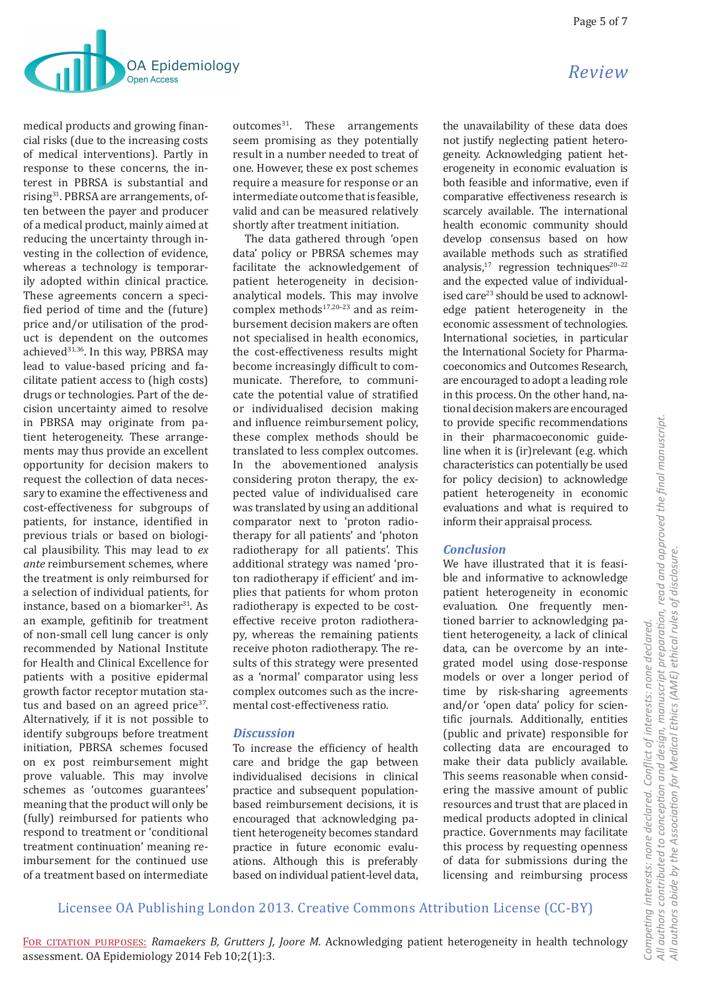

medical products and growing financial risks (due to the increasing costs of medical interventions). Partly in response to these concerns, the interest in PBRSA is substantial and rising31. PBRSA are arrangements, often between the payer and producer of a medical product, mainly aimed at reducing the uncertainty through investing in the collection of evidence, whereas a technology is temporarily adopted within clinical practice. These agreements concern a specified period of time and the (future) price and/or utilisation of the product is dependent on the outcomes achieved<sup>31,36</sup>. In this way, PBRSA may lead to value-based pricing and facilitate patient access to (high costs) drugs or technologies. Part of the decision uncertainty aimed to resolve in PBRSA may originate from patient heterogeneity. These arrangements may thus provide an excellent opportunity for decision makers to request the collection of data necessary to examine the effectiveness and cost-effectiveness for subgroups of patients, for instance, identified in previous trials or based on biological plausibility. This may lead to *ex ante* reimbursement schemes, where the treatment is only reimbursed for a selection of individual patients, for instance, based on a biomarker<sup>31</sup>. As an example, gefitinib for treatment of non-small cell lung cancer is only recommended by National Institute for Health and Clinical Excellence for patients with a positive epidermal growth factor receptor mutation status and based on an agreed price<sup>37</sup>. Alternatively, if it is not possible to identify subgroups before treatment initiation, PBRSA schemes focused on ex post reimbursement might prove valuable. This may involve schemes as 'outcomes guarantees' meaning that the product will only be (fully) reimbursed for patients who respond to treatment or 'conditional treatment continuation' meaning reimbursement for the continued use of a treatment based on intermediate  $outcomes<sup>31</sup>$ . These arrangements seem promising as they potentially result in a number needed to treat of one. However, these ex post schemes require a measure for response or an intermediate outcome that is feasible, valid and can be measured relatively shortly after treatment initiation.

The data gathered through 'open data' policy or PBRSA schemes may facilitate the acknowledgement of patient heterogeneity in decisionanalytical models. This may involve complex methods $17,20-23$  and as reimbursement decision makers are often not specialised in health economics, the cost-effectiveness results might become increasingly difficult to communicate. Therefore, to communicate the potential value of stratified or individualised decision making and influence reimbursement policy, these complex methods should be translated to less complex outcomes. In the abovementioned analysis considering proton therapy, the expected value of individualised care was translated by using an additional comparator next to 'proton radiotherapy for all patients' and 'photon radiotherapy for all patients'. This additional strategy was named 'proton radiotherapy if efficient' and implies that patients for whom proton radiotherapy is expected to be costeffective receive proton radiotherapy, whereas the remaining patients receive photon radiotherapy. The results of this strategy were presented as a 'normal' comparator using less complex outcomes such as the incremental cost-effectiveness ratio.

# *Discussion*

To increase the efficiency of health care and bridge the gap between individualised decisions in clinical practice and subsequent populationbased reimbursement decisions, it is encouraged that acknowledging patient heterogeneity becomes standard practice in future economic evaluations. Although this is preferably based on individual patient-level data,

the unavailability of these data does not justify neglecting patient heterogeneity. Acknowledging patient heterogeneity in economic evaluation is both feasible and informative, even if comparative effectiveness research is scarcely available. The international health economic community should develop consensus based on how available methods such as stratified analysis, $17$  regression techniques $20-22$ and the expected value of individualised care<sup>23</sup> should be used to acknowledge patient heterogeneity in the economic assessment of technologies. International societies, in particular the International Society for Pharmacoeconomics and Outcomes Research, are encouraged to adopt a leading role in this process. On the other hand, national decision makers are encouraged to provide specific recommendations in their pharmacoeconomic guideline when it is (ir)relevant (e.g. which characteristics can potentially be used for policy decision) to acknowledge patient heterogeneity in economic evaluations and what is required to inform their appraisal process.

# *Conclusion*

We have illustrated that it is feasible and informative to acknowledge patient heterogeneity in economic evaluation. One frequently mentioned barrier to acknowledging patient heterogeneity, a lack of clinical data, can be overcome by an integrated model using dose-response models or over a longer period of time by risk-sharing agreements and/or 'open data' policy for scientific journals. Additionally, entities (public and private) responsible for collecting data are encouraged to make their data publicly available. This seems reasonable when considering the massive amount of public resources and trust that are placed in medical products adopted in clinical practice. Governments may facilitate this process by requesting openness of data for submissions during the licensing and reimbursing process

# *Review*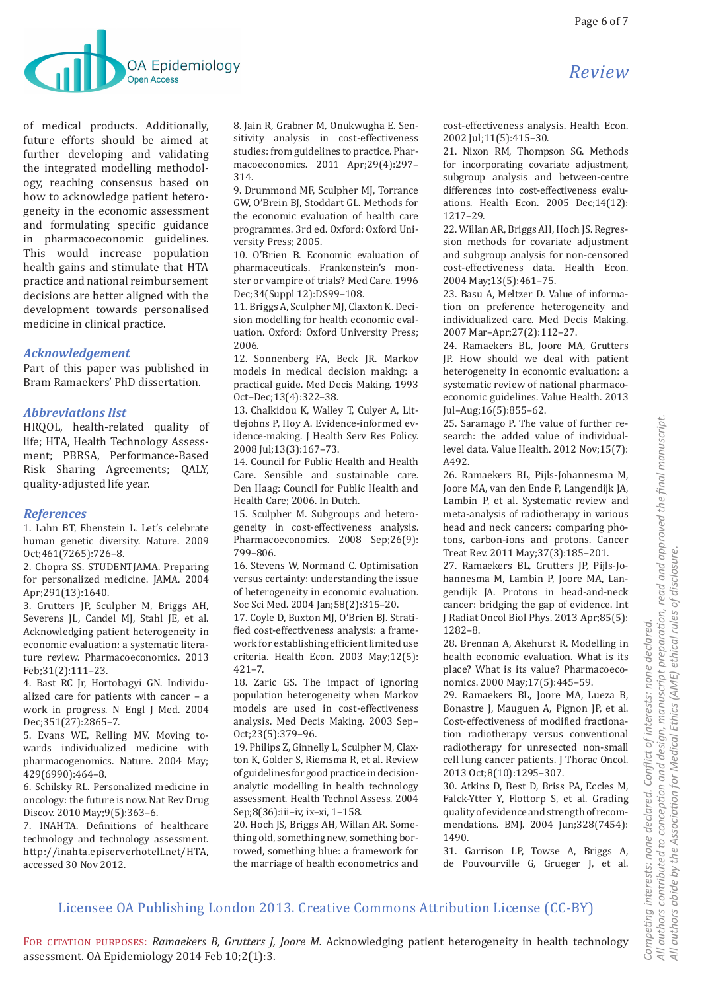

of medical products. Additionally, future efforts should be aimed at further developing and validating the integrated modelling methodology, reaching consensus based on how to acknowledge patient heterogeneity in the economic assessment and formulating specific guidance in pharmacoeconomic guidelines. This would increase population health gains and stimulate that HTA practice and national reimbursement decisions are better aligned with the development towards personalised medicine in clinical practice.

### *Acknowledgement*

Part of this paper was published in Bram Ramaekers' PhD dissertation.

### *Abbreviations list*

HRQOL, health-related quality of life; HTA, Health Technology Assessment; PBRSA, Performance-Based Risk Sharing Agreements; QALY, quality-adjusted life year.

#### *References*

1. Lahn BT, Ebenstein L. Let's celebrate human genetic diversity. Nature. 2009 Oct;461(7265):726–8.

2. Chopra SS. STUDENTJAMA. Preparing for personalized medicine. JAMA. 2004 Apr;291(13):1640.

3. Grutters JP, Sculpher M, Briggs AH, Severens JL, Candel MJ, Stahl JE, et al. Acknowledging patient heterogeneity in economic evaluation: a systematic literature review. Pharmacoeconomics. 2013 Feb;31(2):111–23.

4. Bast RC Jr, Hortobagyi GN. Individualized care for patients with cancer – a work in progress. N Engl J Med. 2004 Dec;351(27):2865–7.

5. Evans WE, Relling MV. Moving towards individualized medicine with pharmacogenomics. Nature. 2004 May; 429(6990):464–8.

6. Schilsky RL. Personalized medicine in oncology: the future is now. Nat Rev Drug Discov. 2010 May;9(5):363–6.

7. INAHTA. Definitions of healthcare technology and technology assessment. http://inahta.episerverhotell.net/HTA, accessed 30 Nov 2012.

8. Jain R, Grabner M, Onukwugha E. Sensitivity analysis in cost-effectiveness studies: from guidelines to practice. Pharmacoeconomics. 2011 Apr;29(4):297– 314.

9. Drummond MF, Sculpher MJ, Torrance GW, O'Brein BJ, Stoddart GL. Methods for the economic evaluation of health care programmes. 3rd ed. Oxford: Oxford University Press; 2005.

10. O'Brien B. Economic evaluation of pharmaceuticals. Frankenstein's monster or vampire of trials? Med Care. 1996 Dec;34(Suppl 12):DS99–108.

11. Briggs A, Sculpher MJ, Claxton K. Decision modelling for health economic evaluation. Oxford: Oxford University Press; 2006.

12. Sonnenberg FA, Beck JR. Markov models in medical decision making: a practical guide. Med Decis Making. 1993 Oct–Dec;13(4):322–38.

13. Chalkidou K, Walley T, Culyer A, Littlejohns P, Hoy A. Evidence-informed evidence-making. J Health Serv Res Policy. 2008 Jul;13(3):167–73.

14. Council for Public Health and Health Care. Sensible and sustainable care. Den Haag: Council for Public Health and Health Care; 2006. In Dutch.

15. Sculpher M. Subgroups and heterogeneity in cost-effectiveness analysis. Pharmacoeconomics. 2008 Sep;26(9): 799–806.

16. Stevens W, Normand C. Optimisation versus certainty: understanding the issue of heterogeneity in economic evaluation. Soc Sci Med. 2004 Jan;58(2):315–20.

17. Coyle D, Buxton MJ, O'Brien BJ. Stratified cost-effectiveness analysis: a framework for establishing efficient limited use criteria. Health Econ. 2003 May;12(5):  $421 - 7$ .

18. Zaric GS. The impact of ignoring population heterogeneity when Markov models are used in cost-effectiveness analysis. Med Decis Making. 2003 Sep– Oct;23(5):379–96.

19. Philips Z, Ginnelly L, Sculpher M, Claxton K, Golder S, Riemsma R, et al. Review of guidelines for good practice in decisionanalytic modelling in health technology assessment. Health Technol Assess. 2004 Sep;8(36):iii–iv, ix–xi, 1–158.

20. Hoch JS, Briggs AH, Willan AR. Something old, something new, something borrowed, something blue: a framework for the marriage of health econometrics and cost-effectiveness analysis. Health Econ. 2002 Jul;11(5):415–30.

21. Nixon RM, Thompson SG. Methods for incorporating covariate adjustment, subgroup analysis and between-centre differences into cost-effectiveness evaluations. Health Econ. 2005 Dec;14(12): 1217–29.

22. Willan AR, Briggs AH, Hoch JS. Regression methods for covariate adjustment and subgroup analysis for non-censored cost-effectiveness data. Health Econ. 2004 May;13(5):461–75.

23. Basu A, Meltzer D. Value of information on preference heterogeneity and individualized care. Med Decis Making. 2007 Mar–Apr;27(2):112–27.

24. Ramaekers BL, Joore MA, Grutters JP. How should we deal with patient heterogeneity in economic evaluation: a systematic review of national pharmacoeconomic guidelines. Value Health. 2013 Jul–Aug;16(5):855–62.

25. Saramago P. The value of further research: the added value of individuallevel data. Value Health. 2012 Nov;15(7): A492.

26. Ramaekers BL, Pijls-Johannesma M, Joore MA, van den Ende P, Langendijk JA, Lambin P, et al. Systematic review and meta-analysis of radiotherapy in various head and neck cancers: comparing photons, carbon-ions and protons. Cancer Treat Rev. 2011 May;37(3):185–201.

27. Ramaekers BL, Grutters JP, Pijls-Johannesma M, Lambin P, Joore MA, Langendijk JA. Protons in head-and-neck cancer: bridging the gap of evidence. Int J Radiat Oncol Biol Phys. 2013 Apr;85(5): 1282–8.

28. Brennan A, Akehurst R. Modelling in health economic evaluation. What is its place? What is its value? Pharmacoeconomics. 2000 May;17(5):445–59.

29. Ramaekers BL, Joore MA, Lueza B, Bonastre J, Mauguen A, Pignon JP, et al. Cost-effectiveness of modified fractionation radiotherapy versus conventional radiotherapy for unresected non-small cell lung cancer patients. J Thorac Oncol. 2013 Oct;8(10):1295–307.

30. Atkins D, Best D, Briss PA, Eccles M, Falck-Ytter Y, Flottorp S, et al. Grading quality of evidence and strength of recommendations. BMJ. 2004 Jun;328(7454): 1490.

31. Garrison LP, Towse A, Briggs A, de Pouvourville G, Grueger J, et al.

# Licensee OA Publishing London 2013. Creative Commons Attribution License (CC-BY)